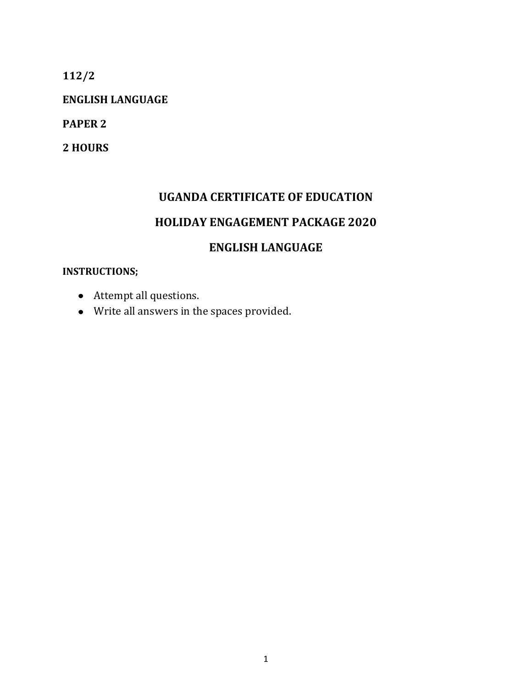**112/2**

**ENGLISH LANGUAGE**

**PAPER 2** 

**2 HOURS**

# **UGANDA CERTIFICATE OF EDUCATION**

## **HOLIDAY ENGAGEMENT PACKAGE 2020**

## **ENGLISH LANGUAGE**

#### **INSTRUCTIONS;**

- Attempt all questions.
- Write all answers in the spaces provided.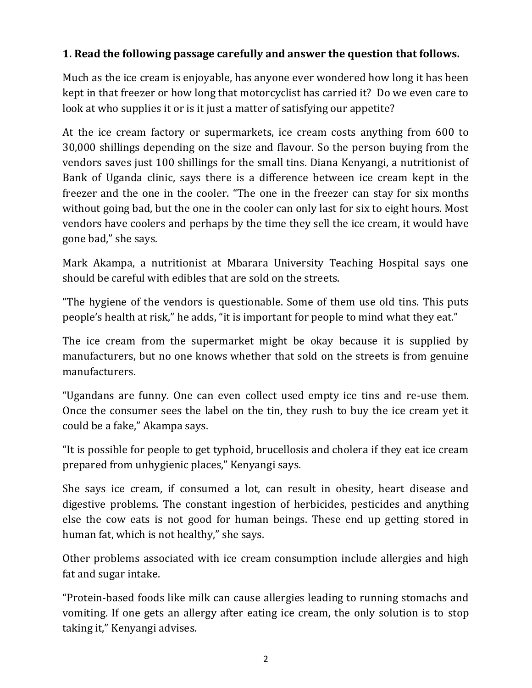## **1. Read the following passage carefully and answer the question that follows.**

Much as the ice cream is enjoyable, has anyone ever wondered how long it has been kept in that freezer or how long that motorcyclist has carried it? Do we even care to look at who supplies it or is it just a matter of satisfying our appetite?

At the ice cream factory or supermarkets, ice cream costs anything from 600 to 30,000 shillings depending on the size and flavour. So the person buying from the vendors saves just 100 shillings for the small tins. Diana Kenyangi, a nutritionist of Bank of Uganda clinic, says there is a difference between ice cream kept in the freezer and the one in the cooler. "The one in the freezer can stay for six months without going bad, but the one in the cooler can only last for six to eight hours. Most vendors have coolers and perhaps by the time they sell the ice cream, it would have gone bad," she says.

Mark Akampa, a nutritionist at Mbarara University Teaching Hospital says one should be careful with edibles that are sold on the streets.

"The hygiene of the vendors is questionable. Some of them use old tins. This puts people's health at risk," he adds, "it is important for people to mind what they eat."

The ice cream from the supermarket might be okay because it is supplied by manufacturers, but no one knows whether that sold on the streets is from genuine manufacturers.

"Ugandans are funny. One can even collect used empty ice tins and re-use them. Once the consumer sees the label on the tin, they rush to buy the ice cream yet it could be a fake," Akampa says.

"It is possible for people to get typhoid, brucellosis and cholera if they eat ice cream prepared from unhygienic places," Kenyangi says.

She says ice cream, if consumed a lot, can result in obesity, heart disease and digestive problems. The constant ingestion of herbicides, pesticides and anything else the cow eats is not good for human beings. These end up getting stored in human fat, which is not healthy," she says.

Other problems associated with ice cream consumption include allergies and high fat and sugar intake.

"Protein-based foods like milk can cause allergies leading to running stomachs and vomiting. If one gets an allergy after eating ice cream, the only solution is to stop taking it," Kenyangi advises.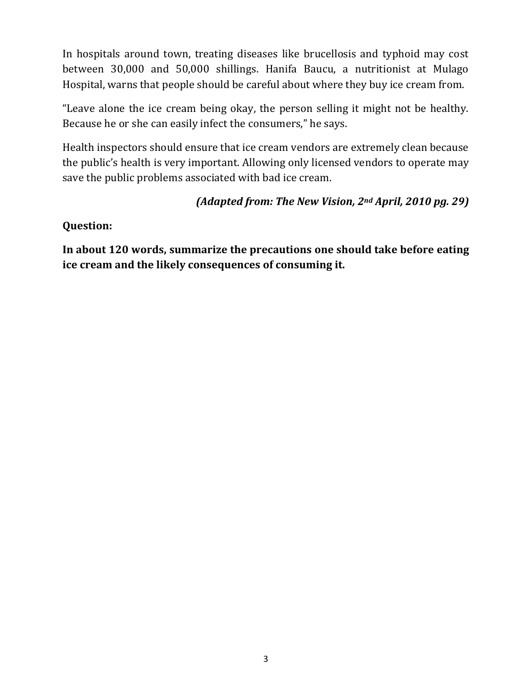In hospitals around town, treating diseases like brucellosis and typhoid may cost between 30,000 and 50,000 shillings. Hanifa Baucu, a nutritionist at Mulago Hospital, warns that people should be careful about where they buy ice cream from.

"Leave alone the ice cream being okay, the person selling it might not be healthy. Because he or she can easily infect the consumers," he says.

Health inspectors should ensure that ice cream vendors are extremely clean because the public's health is very important. Allowing only licensed vendors to operate may save the public problems associated with bad ice cream.

### *(Adapted from: The New Vision, 2nd April, 2010 pg. 29)*

#### **Question:**

**In about 120 words, summarize the precautions one should take before eating ice cream and the likely consequences of consuming it.**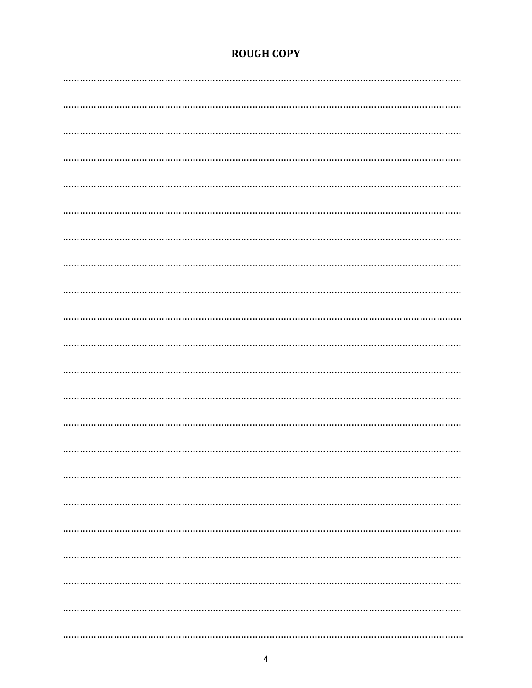## **ROUGH COPY**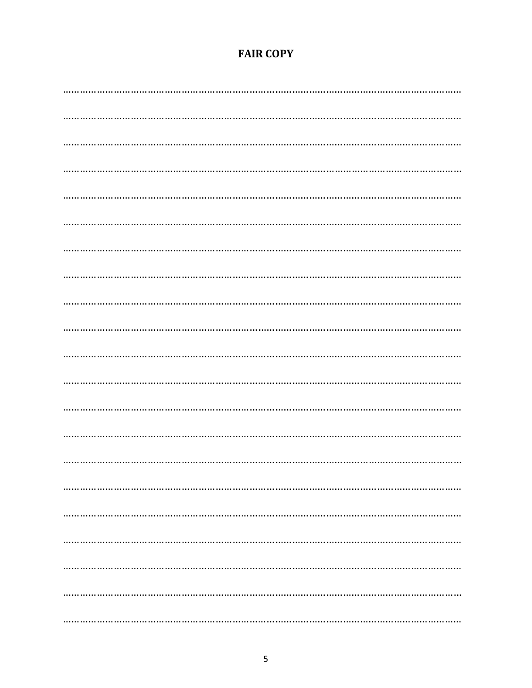## **FAIR COPY**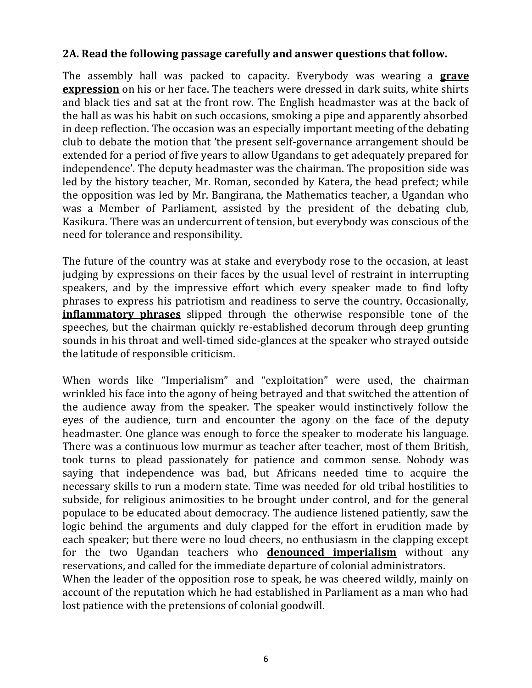#### **2A. Read the following passage carefully and answer questions that follow.**

The assembly hall was packed to capacity. Everybody was wearing a **grave expression** on his or her face. The teachers were dressed in dark suits, white shirts and black ties and sat at the front row. The English headmaster was at the back of the hall as was his habit on such occasions, smoking a pipe and apparently absorbed in deep reflection. The occasion was an especially important meeting of the debating club to debate the motion that 'the present self-governance arrangement should be extended for a period of five years to allow Ugandans to get adequately prepared for independence'. The deputy headmaster was the chairman. The proposition side was led by the history teacher, Mr. Roman, seconded by Katera, the head prefect; while the opposition was led by Mr. Bangirana, the Mathematics teacher, a Ugandan who was a Member of Parliament, assisted by the president of the debating club, Kasikura. There was an undercurrent of tension, but everybody was conscious of the need for tolerance and responsibility.

The future of the country was at stake and everybody rose to the occasion, at least judging by expressions on their faces by the usual level of restraint in interrupting speakers, and by the impressive effort which every speaker made to find lofty phrases to express his patriotism and readiness to serve the country. Occasionally, **inflammatory phrases** slipped through the otherwise responsible tone of the speeches, but the chairman quickly re-established decorum through deep grunting sounds in his throat and well-timed side-glances at the speaker who strayed outside the latitude of responsible criticism.

When words like "Imperialism" and "exploitation" were used, the chairman wrinkled his face into the agony of being betrayed and that switched the attention of the audience away from the speaker. The speaker would instinctively follow the eyes of the audience, turn and encounter the agony on the face of the deputy headmaster. One glance was enough to force the speaker to moderate his language. There was a continuous low murmur as teacher after teacher, most of them British, took turns to plead passionately for patience and common sense. Nobody was saying that independence was bad, but Africans needed time to acquire the necessary skills to run a modern state. Time was needed for old tribal hostilities to subside, for religious animosities to be brought under control, and for the general populace to be educated about democracy. The audience listened patiently, saw the logic behind the arguments and duly clapped for the effort in erudition made by each speaker; but there were no loud cheers, no enthusiasm in the clapping except for the two Ugandan teachers who **denounced imperialism** without any reservations, and called for the immediate departure of colonial administrators. When the leader of the opposition rose to speak, he was cheered wildly, mainly on account of the reputation which he had established in Parliament as a man who had lost patience with the pretensions of colonial goodwill.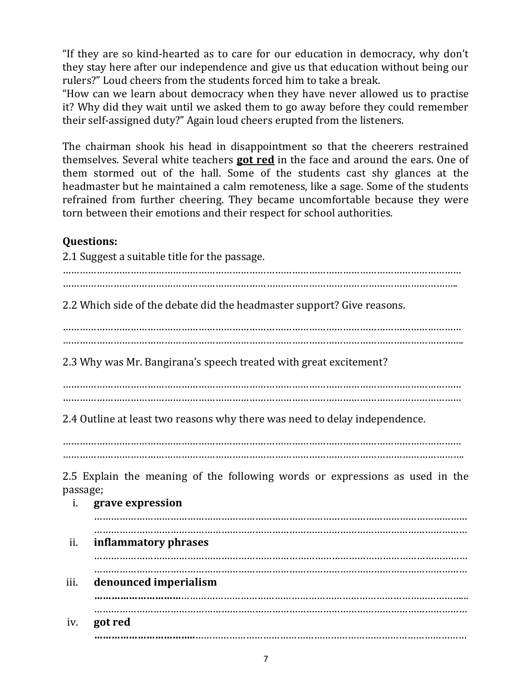"If they are so kind-hearted as to care for our education in democracy, why don't they stay here after our independence and give us that education without being our rulers?" Loud cheers from the students forced him to take a break.

"How can we learn about democracy when they have never allowed us to practise it? Why did they wait until we asked them to go away before they could remember their self-assigned duty?" Again loud cheers erupted from the listeners.

The chairman shook his head in disappointment so that the cheerers restrained themselves. Several white teachers **got red** in the face and around the ears. One of them stormed out of the hall. Some of the students cast shy glances at the headmaster but he maintained a calm remoteness, like a sage. Some of the students refrained from further cheering. They became uncomfortable because they were torn between their emotions and their respect for school authorities.

## **Questions:**

2.1 Suggest a suitable title for the passage. ………………………………………………………………………………………………………………………….. 2.2 Which side of the debate did the headmaster support? Give reasons. …………………………………………………………………………………………………………………………… ……………………………………………………………………………………………………………………………. 2.3 Why was Mr. Bangirana's speech treated with great excitement? …………………………………………………………………………………………………………………………… …………………………………………………………………………………………………………………………… 2.4 Outline at least two reasons why there was need to delay independence. …………………………………………………………………………………………………………………………… ……………………………………………………………………………………………………………………………. 2.5 Explain the meaning of the following words or expressions as used in the passage; i. **grave expression** …………………………………………………………………………………………………………………… …………………………………………………………………………………………………………………… ii. **inflammatory phrases** …………………………………………………………………………………………………………………… ……………………………………………………………………………………………………………………

iii. **denounced imperialism …………………………**………………………………………………………………………………………... …………………………………………………………………………………………………………………… iv. **got red**

**……………………………..**……………………………………………………………………………………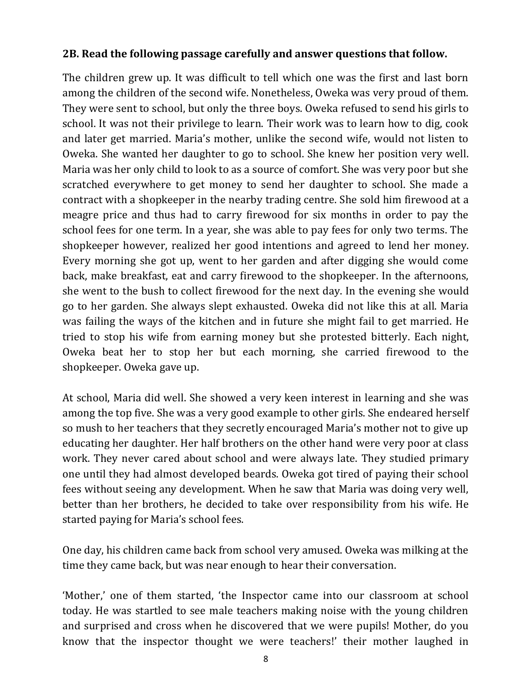#### **2B. Read the following passage carefully and answer questions that follow.**

The children grew up. It was difficult to tell which one was the first and last born among the children of the second wife. Nonetheless, Oweka was very proud of them. They were sent to school, but only the three boys. Oweka refused to send his girls to school. It was not their privilege to learn. Their work was to learn how to dig, cook and later get married. Maria's mother, unlike the second wife, would not listen to Oweka. She wanted her daughter to go to school. She knew her position very well. Maria was her only child to look to as a source of comfort. She was very poor but she scratched everywhere to get money to send her daughter to school. She made a contract with a shopkeeper in the nearby trading centre. She sold him firewood at a meagre price and thus had to carry firewood for six months in order to pay the school fees for one term. In a year, she was able to pay fees for only two terms. The shopkeeper however, realized her good intentions and agreed to lend her money. Every morning she got up, went to her garden and after digging she would come back, make breakfast, eat and carry firewood to the shopkeeper. In the afternoons, she went to the bush to collect firewood for the next day. In the evening she would go to her garden. She always slept exhausted. Oweka did not like this at all. Maria was failing the ways of the kitchen and in future she might fail to get married. He tried to stop his wife from earning money but she protested bitterly. Each night, Oweka beat her to stop her but each morning, she carried firewood to the shopkeeper. Oweka gave up.

At school, Maria did well. She showed a very keen interest in learning and she was among the top five. She was a very good example to other girls. She endeared herself so mush to her teachers that they secretly encouraged Maria's mother not to give up educating her daughter. Her half brothers on the other hand were very poor at class work. They never cared about school and were always late. They studied primary one until they had almost developed beards. Oweka got tired of paying their school fees without seeing any development. When he saw that Maria was doing very well, better than her brothers, he decided to take over responsibility from his wife. He started paying for Maria's school fees.

One day, his children came back from school very amused. Oweka was milking at the time they came back, but was near enough to hear their conversation.

'Mother,' one of them started, 'the Inspector came into our classroom at school today. He was startled to see male teachers making noise with the young children and surprised and cross when he discovered that we were pupils! Mother, do you know that the inspector thought we were teachers!' their mother laughed in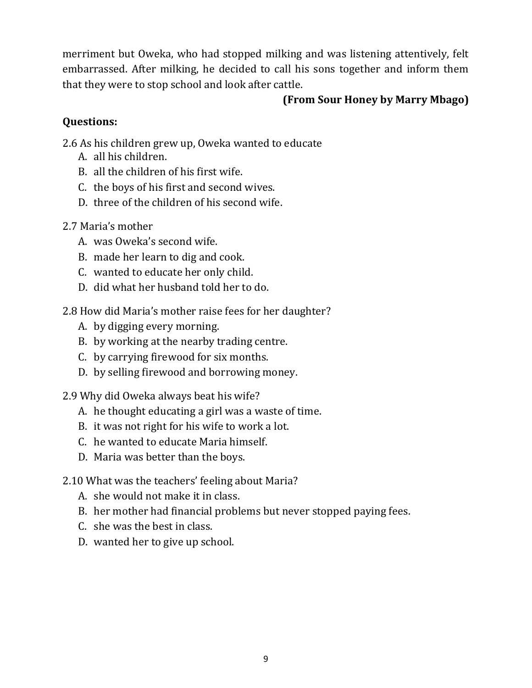merriment but Oweka, who had stopped milking and was listening attentively, felt embarrassed. After milking, he decided to call his sons together and inform them that they were to stop school and look after cattle.

### **(From Sour Honey by Marry Mbago)**

## **Questions:**

- 2.6 As his children grew up, Oweka wanted to educate
	- A. all his children.
	- B. all the children of his first wife.
	- C. the boys of his first and second wives.
	- D. three of the children of his second wife.
- 2.7 Maria's mother
	- A. was Oweka's second wife.
	- B. made her learn to dig and cook.
	- C. wanted to educate her only child.
	- D. did what her husband told her to do.
- 2.8 How did Maria's mother raise fees for her daughter?
	- A. by digging every morning.
	- B. by working at the nearby trading centre.
	- C. by carrying firewood for six months.
	- D. by selling firewood and borrowing money.
- 2.9 Why did Oweka always beat his wife?
	- A. he thought educating a girl was a waste of time.
	- B. it was not right for his wife to work a lot.
	- C. he wanted to educate Maria himself.
	- D. Maria was better than the boys.

## 2.10 What was the teachers' feeling about Maria?

- A. she would not make it in class.
- B. her mother had financial problems but never stopped paying fees.
- C. she was the best in class.
- D. wanted her to give up school.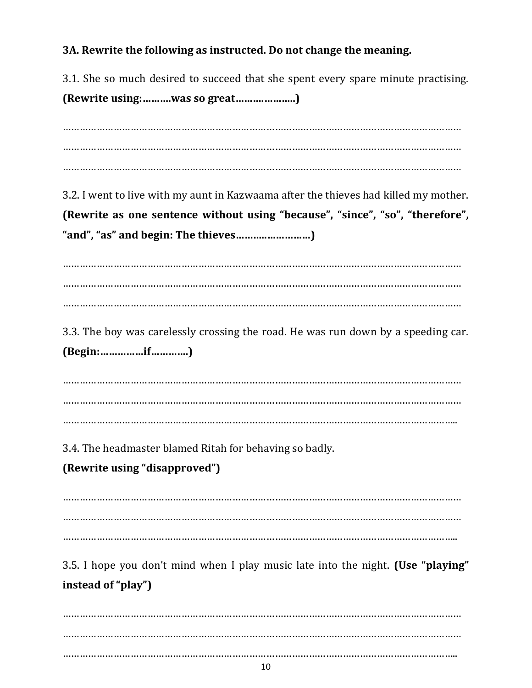## **3A. Rewrite the following as instructed. Do not change the meaning.**

3.1. She so much desired to succeed that she spent every spare minute practising. **(Rewrite using:……….was so great……….………..)**

…………………………………………………………………………………………………………………………… …………………………………………………………………………………………………………………………… …………………………………………………………………………………………………………………………… 3.2. I went to live with my aunt in Kazwaama after the thieves had killed my mother. **(Rewrite as one sentence without using "because", "since", "so", "therefore", "and", "as" and begin: The thieves………..……………)** …………………………………………………………………………………………………………………………… …………………………………………………………………………………………………………………………… …………………………………………………………………………………………………………………………… 3.3. The boy was carelessly crossing the road. He was run down by a speeding car. **(Begin:……………if………….)** …………………………………………………………………………………………………………………………… …………………………………………………………………………………………………………………………… ………………………………………………………………………………………………………………………….. 3.4. The headmaster blamed Ritah for behaving so badly. **(Rewrite using "disapproved")** …………………………………………………………………………………………………………………………… …………………………………………………………………………………………………………………………… ………………………………………………………………………………………………………………………….. 3.5. I hope you don't mind when I play music late into the night. **(Use "playing" instead of "play")** …………………………………………………………………………………………………………………………… …………………………………………………………………………………………………………………………… …………………………………………………………………………………………………………………………..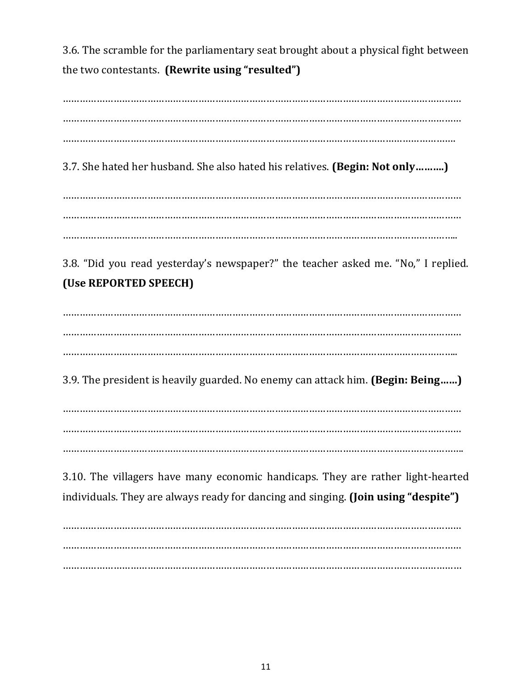3.6. The scramble for the parliamentary seat brought about a physical fight between the two contestants. **(Rewrite using "resulted")**

…………………………………………………………………………………………………………………………… …………………………………………………………………………………………………………………………… …………………………………………………………………………………………………………………………. 3.7. She hated her husband. She also hated his relatives. **(Begin: Not only……….)** …………………………………………………………………………………………………………………………… …………………………………………………………………………………………………………………………… ………………………………………………………………………………………………………………………….. 3.8. "Did you read yesterday's newspaper?" the teacher asked me. "No," I replied. **(Use REPORTED SPEECH)** …………………………………………………………………………………………………………………………… …………………………………………………………………………………………………………………………… ………………………………………………………………………………………………………………………….. 3.9. The president is heavily guarded. No enemy can attack him. **(Begin: Being……)** …………………………………………………………………………………………………………………………… …………………………………………………………………………………………………………………………… …………………………………………………………………………………………………………………………….

3.10. The villagers have many economic handicaps. They are rather light-hearted individuals. They are always ready for dancing and singing. **(Join using "despite")**

…………………………………………………………………………………………………………………………… …………………………………………………………………………………………………………………………… ……………………………………………………………………………………………………………………………